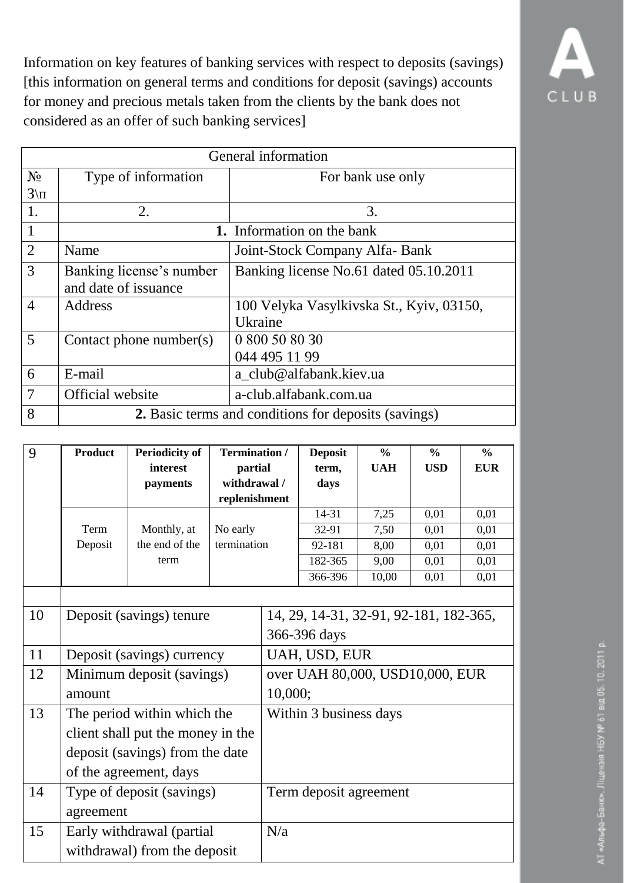Information on key features of banking services with respect to deposits (savings) [this information on general terms and conditions for deposit (savings) accounts for money and precious metals taken from the clients by the bank does not considered as an offer of such banking services]



| 9  | <b>Product</b>                    | <b>Periodicity of</b>           | <b>Termination</b> /   |                                        | <b>Deposit</b> | $\frac{0}{0}$ | $\frac{0}{0}$ | $\frac{0}{0}$ |
|----|-----------------------------------|---------------------------------|------------------------|----------------------------------------|----------------|---------------|---------------|---------------|
|    |                                   | interest                        | partial                |                                        | term,          | <b>UAH</b>    | <b>USD</b>    | <b>EUR</b>    |
|    |                                   | payments                        | withdrawal /           |                                        | days           |               |               |               |
|    |                                   |                                 | replenishment          |                                        |                |               |               |               |
|    |                                   |                                 |                        |                                        | $14 - 31$      | 7,25          | 0,01          | 0,01          |
|    | Term                              | Monthly, at                     | No early               |                                        | 32-91          | 7,50          | 0,01          | 0,01          |
|    | Deposit                           | the end of the                  | termination            |                                        | 92-181         | 8,00          | 0,01          | 0,01          |
|    |                                   | term                            |                        |                                        | 182-365        | 9,00          | 0,01          | 0,01          |
|    |                                   |                                 |                        |                                        | 366-396        | 10,00         | 0,01          | 0,01          |
|    |                                   |                                 |                        |                                        |                |               |               |               |
| 10 |                                   | Deposit (savings) tenure        |                        | 14, 29, 14-31, 32-91, 92-181, 182-365, |                |               |               |               |
|    |                                   |                                 | 366-396 days           |                                        |                |               |               |               |
| 11 |                                   | Deposit (savings) currency      |                        |                                        | UAH, USD, EUR  |               |               |               |
| 12 |                                   | Minimum deposit (savings)       |                        | over UAH 80,000, USD10,000, EUR        |                |               |               |               |
|    | amount                            |                                 |                        | 10,000;                                |                |               |               |               |
| 13 | The period within which the       |                                 | Within 3 business days |                                        |                |               |               |               |
|    | client shall put the money in the |                                 |                        |                                        |                |               |               |               |
|    |                                   | deposit (savings) from the date |                        |                                        |                |               |               |               |
|    |                                   | of the agreement, days          |                        |                                        |                |               |               |               |
| 14 |                                   | Type of deposit (savings)       |                        | Term deposit agreement                 |                |               |               |               |
|    | agreement                         |                                 |                        |                                        |                |               |               |               |
| 15 |                                   | Early withdrawal (partial       |                        | N/a                                    |                |               |               |               |
|    | withdrawal) from the deposit      |                                 |                        |                                        |                |               |               |               |

## ра-Банк». Ліцензія НБУ № 61 від 05. 10. 2011 р

CLUB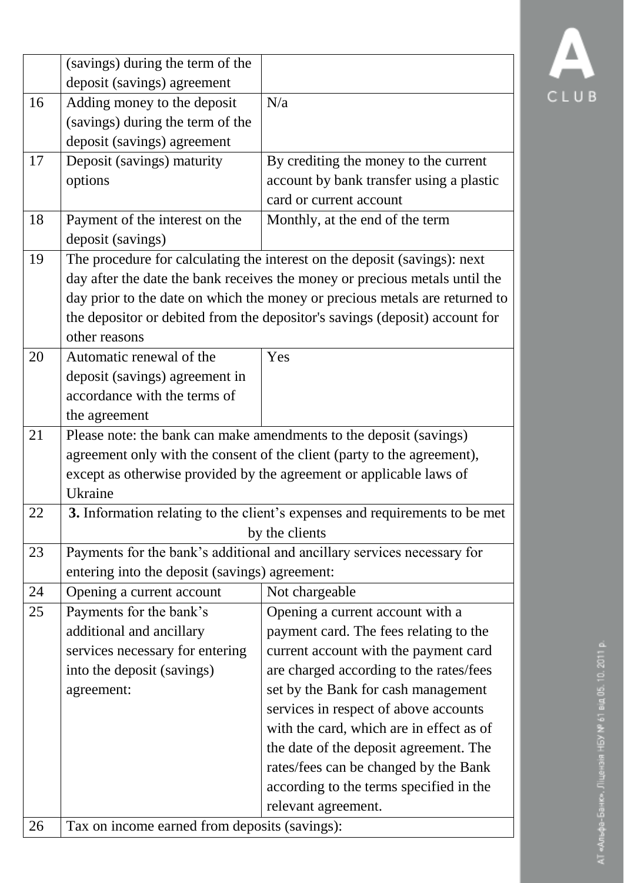|    | (savings) during the term of the                                            |                                                                         |  |  |
|----|-----------------------------------------------------------------------------|-------------------------------------------------------------------------|--|--|
|    | deposit (savings) agreement                                                 |                                                                         |  |  |
| 16 | Adding money to the deposit                                                 | N/a                                                                     |  |  |
|    | (savings) during the term of the                                            |                                                                         |  |  |
|    | deposit (savings) agreement                                                 |                                                                         |  |  |
| 17 | Deposit (savings) maturity                                                  | By crediting the money to the current                                   |  |  |
|    | options                                                                     | account by bank transfer using a plastic                                |  |  |
|    |                                                                             | card or current account                                                 |  |  |
| 18 | Payment of the interest on the                                              | Monthly, at the end of the term                                         |  |  |
|    | deposit (savings)                                                           |                                                                         |  |  |
| 19 | The procedure for calculating the interest on the deposit (savings): next   |                                                                         |  |  |
|    | day after the date the bank receives the money or precious metals until the |                                                                         |  |  |
|    | day prior to the date on which the money or precious metals are returned to |                                                                         |  |  |
|    | the depositor or debited from the depositor's savings (deposit) account for |                                                                         |  |  |
|    | other reasons                                                               |                                                                         |  |  |
| 20 | Automatic renewal of the                                                    | Yes                                                                     |  |  |
|    | deposit (savings) agreement in                                              |                                                                         |  |  |
|    | accordance with the terms of                                                |                                                                         |  |  |
|    | the agreement                                                               |                                                                         |  |  |
| 21 | Please note: the bank can make amendments to the deposit (savings)          |                                                                         |  |  |
|    | agreement only with the consent of the client (party to the agreement),     |                                                                         |  |  |
|    | except as otherwise provided by the agreement or applicable laws of         |                                                                         |  |  |
|    | Ukraine                                                                     |                                                                         |  |  |
| 22 | 3. Information relating to the client's expenses and requirements to be met |                                                                         |  |  |
|    | by the clients                                                              |                                                                         |  |  |
| 23 |                                                                             | Payments for the bank's additional and ancillary services necessary for |  |  |
|    |                                                                             | entering into the deposit (savings) agreement:                          |  |  |
| 24 | Opening a current account                                                   | Not chargeable                                                          |  |  |
| 25 | Payments for the bank's                                                     | Opening a current account with a                                        |  |  |
|    | additional and ancillary                                                    | payment card. The fees relating to the                                  |  |  |
|    | services necessary for entering                                             | current account with the payment card                                   |  |  |
|    | into the deposit (savings)                                                  | are charged according to the rates/fees                                 |  |  |
|    | agreement:                                                                  | set by the Bank for cash management                                     |  |  |
|    |                                                                             | services in respect of above accounts                                   |  |  |
|    |                                                                             | with the card, which are in effect as of                                |  |  |
|    |                                                                             | the date of the deposit agreement. The                                  |  |  |
|    |                                                                             | rates/fees can be changed by the Bank                                   |  |  |
|    |                                                                             | according to the terms specified in the                                 |  |  |
|    |                                                                             | relevant agreement.                                                     |  |  |
| 26 | Tax on income earned from deposits (savings):                               |                                                                         |  |  |

## АТ «Альфа-Банк». Ліцензія НБУ № 61 від 05. 10. 2011 р.

 $\blacktriangle$ 

CLUB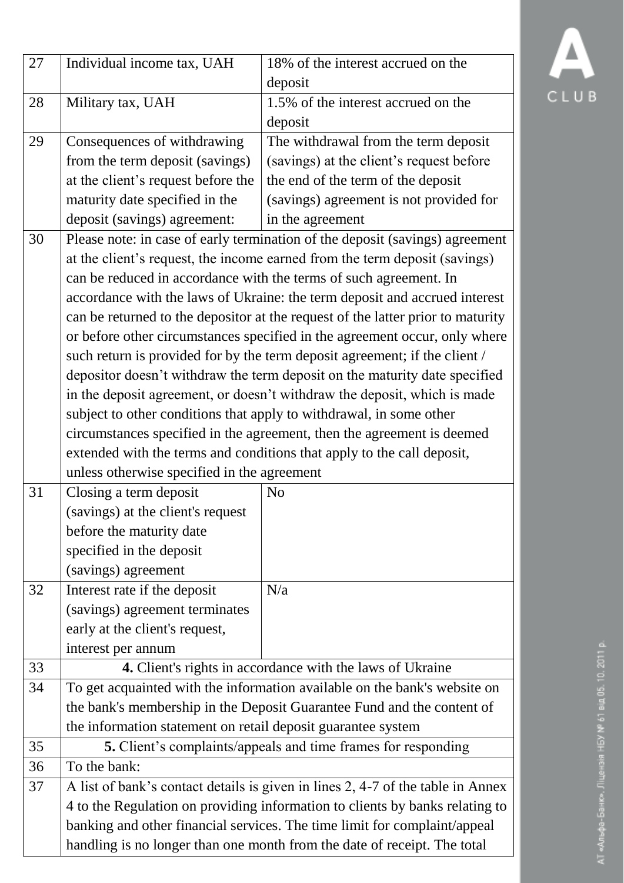| 27 | Individual income tax, UAH                                                      | 18% of the interest accrued on the                                              |  |  |  |
|----|---------------------------------------------------------------------------------|---------------------------------------------------------------------------------|--|--|--|
|    |                                                                                 | deposit                                                                         |  |  |  |
| 28 | Military tax, UAH                                                               | 1.5% of the interest accrued on the                                             |  |  |  |
|    |                                                                                 | deposit                                                                         |  |  |  |
| 29 | Consequences of withdrawing                                                     | The withdrawal from the term deposit                                            |  |  |  |
|    | from the term deposit (savings)                                                 | (savings) at the client's request before                                        |  |  |  |
|    | at the client's request before the                                              | the end of the term of the deposit                                              |  |  |  |
|    | maturity date specified in the                                                  | (savings) agreement is not provided for                                         |  |  |  |
|    | deposit (savings) agreement:                                                    | in the agreement                                                                |  |  |  |
| 30 | Please note: in case of early termination of the deposit (savings) agreement    |                                                                                 |  |  |  |
|    | at the client's request, the income earned from the term deposit (savings)      |                                                                                 |  |  |  |
|    | can be reduced in accordance with the terms of such agreement. In               |                                                                                 |  |  |  |
|    | accordance with the laws of Ukraine: the term deposit and accrued interest      |                                                                                 |  |  |  |
|    | can be returned to the depositor at the request of the latter prior to maturity |                                                                                 |  |  |  |
|    | or before other circumstances specified in the agreement occur, only where      |                                                                                 |  |  |  |
|    | such return is provided for by the term deposit agreement; if the client /      |                                                                                 |  |  |  |
|    | depositor doesn't withdraw the term deposit on the maturity date specified      |                                                                                 |  |  |  |
|    | in the deposit agreement, or doesn't withdraw the deposit, which is made        |                                                                                 |  |  |  |
|    | subject to other conditions that apply to withdrawal, in some other             |                                                                                 |  |  |  |
|    | circumstances specified in the agreement, then the agreement is deemed          |                                                                                 |  |  |  |
|    | extended with the terms and conditions that apply to the call deposit,          |                                                                                 |  |  |  |
|    | unless otherwise specified in the agreement                                     |                                                                                 |  |  |  |
| 31 | Closing a term deposit                                                          | N <sub>o</sub>                                                                  |  |  |  |
|    | (savings) at the client's request                                               |                                                                                 |  |  |  |
|    | before the maturity date                                                        |                                                                                 |  |  |  |
|    | specified in the deposit                                                        |                                                                                 |  |  |  |
|    | (savings) agreement                                                             |                                                                                 |  |  |  |
| 32 | Interest rate if the deposit                                                    | N/a                                                                             |  |  |  |
|    | (savings) agreement terminates                                                  |                                                                                 |  |  |  |
|    | early at the client's request,                                                  |                                                                                 |  |  |  |
|    | interest per annum                                                              |                                                                                 |  |  |  |
| 33 |                                                                                 | 4. Client's rights in accordance with the laws of Ukraine                       |  |  |  |
| 34 |                                                                                 | To get acquainted with the information available on the bank's website on       |  |  |  |
|    |                                                                                 | the bank's membership in the Deposit Guarantee Fund and the content of          |  |  |  |
|    | the information statement on retail deposit guarantee system                    |                                                                                 |  |  |  |
| 35 | 5. Client's complaints/appeals and time frames for responding                   |                                                                                 |  |  |  |
| 36 | To the bank:                                                                    |                                                                                 |  |  |  |
| 37 |                                                                                 | A list of bank's contact details is given in lines 2, 4-7 of the table in Annex |  |  |  |
|    |                                                                                 | 4 to the Regulation on providing information to clients by banks relating to    |  |  |  |
|    | banking and other financial services. The time limit for complaint/appeal       |                                                                                 |  |  |  |
|    | handling is no longer than one month from the date of receipt. The total        |                                                                                 |  |  |  |

## АТ «Альфа-Банк». Ліцензія НБУ № 61 від 05. 10. 2011 р.

 $\overline{\mathbf{A}}$ CLUB